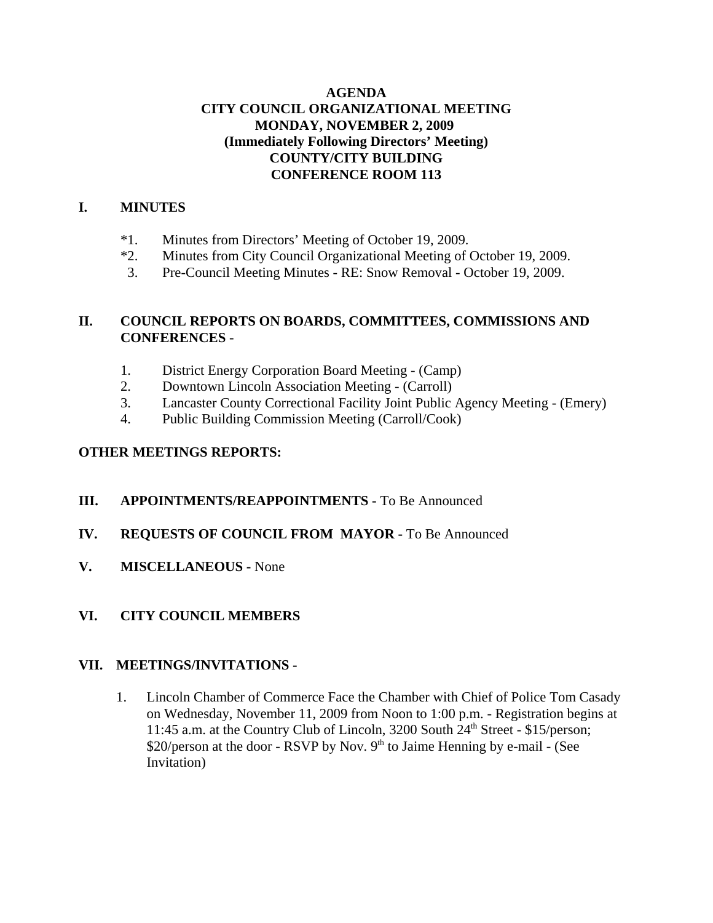### **AGENDA CITY COUNCIL ORGANIZATIONAL MEETING MONDAY, NOVEMBER 2, 2009 (Immediately Following Directors' Meeting) COUNTY/CITY BUILDING CONFERENCE ROOM 113**

### **I. MINUTES**

- \*1. Minutes from Directors' Meeting of October 19, 2009.
- \*2. Minutes from City Council Organizational Meeting of October 19, 2009.
- 3. Pre-Council Meeting Minutes RE: Snow Removal October 19, 2009.

### **II. COUNCIL REPORTS ON BOARDS, COMMITTEES, COMMISSIONS AND CONFERENCES** -

- 1. District Energy Corporation Board Meeting (Camp)
- 2. Downtown Lincoln Association Meeting (Carroll)
- 3. Lancaster County Correctional Facility Joint Public Agency Meeting (Emery)
- 4. Public Building Commission Meeting (Carroll/Cook)

#### **OTHER MEETINGS REPORTS:**

- **III. APPOINTMENTS/REAPPOINTMENTS -** To Be Announced
- **IV. REQUESTS OF COUNCIL FROM MAYOR -** To Be Announced
- **V. MISCELLANEOUS -** None
- **VI. CITY COUNCIL MEMBERS**

#### **VII. MEETINGS/INVITATIONS -**

1. Lincoln Chamber of Commerce Face the Chamber with Chief of Police Tom Casady on Wednesday, November 11, 2009 from Noon to 1:00 p.m. - Registration begins at 11:45 a.m. at the Country Club of Lincoln, 3200 South  $24<sup>th</sup>$  Street - \$15/person; \$20/person at the door - RSVP by Nov.  $9<sup>th</sup>$  to Jaime Henning by e-mail - (See Invitation)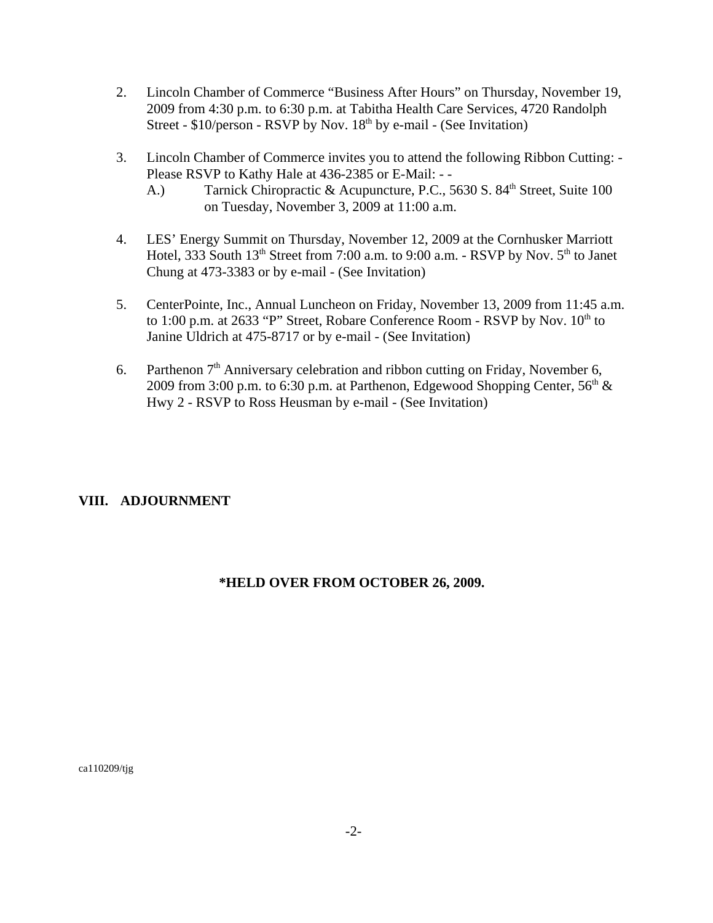- 2. Lincoln Chamber of Commerce "Business After Hours" on Thursday, November 19, 2009 from 4:30 p.m. to 6:30 p.m. at Tabitha Health Care Services, 4720 Randolph Street -  $$10/person$  - RSVP by Nov.  $18<sup>th</sup>$  by e-mail - (See Invitation)
- 3. Lincoln Chamber of Commerce invites you to attend the following Ribbon Cutting: Please RSVP to Kathy Hale at 436-2385 or E-Mail: - -
	- A.) Tarnick Chiropractic & Acupuncture, P.C., 5630 S. 84<sup>th</sup> Street, Suite 100 on Tuesday, November 3, 2009 at 11:00 a.m.
- 4. LES' Energy Summit on Thursday, November 12, 2009 at the Cornhusker Marriott Hotel, 333 South  $13<sup>th</sup>$  Street from 7:00 a.m. to 9:00 a.m. - RSVP by Nov.  $5<sup>th</sup>$  to Janet Chung at 473-3383 or by e-mail - (See Invitation)
- 5. CenterPointe, Inc., Annual Luncheon on Friday, November 13, 2009 from 11:45 a.m. to 1:00 p.m. at 2633 "P" Street, Robare Conference Room - RSVP by Nov.  $10^{th}$  to Janine Uldrich at 475-8717 or by e-mail - (See Invitation)
- 6. Parthenon  $7<sup>th</sup>$  Anniversary celebration and ribbon cutting on Friday, November 6, 2009 from 3:00 p.m. to 6:30 p.m. at Parthenon, Edgewood Shopping Center,  $56<sup>th</sup>$  & Hwy 2 - RSVP to Ross Heusman by e-mail - (See Invitation)

### **VIII. ADJOURNMENT**

### **\*HELD OVER FROM OCTOBER 26, 2009.**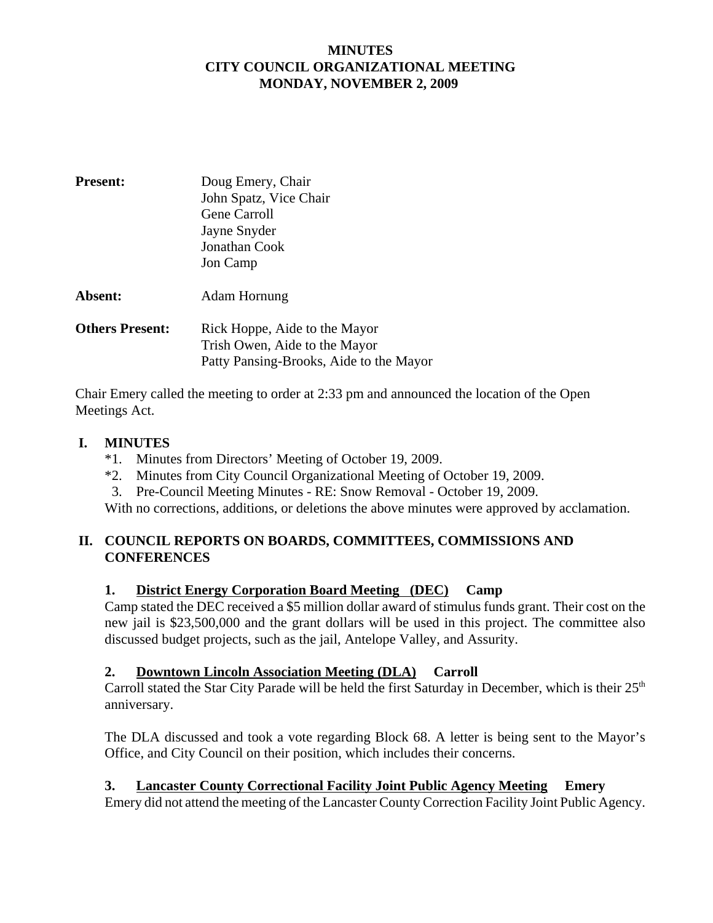### **MINUTES CITY COUNCIL ORGANIZATIONAL MEETING MONDAY, NOVEMBER 2, 2009**

| <b>Present:</b>        | Doug Emery, Chair<br>John Spatz, Vice Chair<br>Gene Carroll<br>Jayne Snyder<br>Jonathan Cook<br>Jon Camp  |
|------------------------|-----------------------------------------------------------------------------------------------------------|
| <b>Absent:</b>         | Adam Hornung                                                                                              |
| <b>Others Present:</b> | Rick Hoppe, Aide to the Mayor<br>Trish Owen, Aide to the Mayor<br>Patty Pansing-Brooks, Aide to the Mayor |

Chair Emery called the meeting to order at 2:33 pm and announced the location of the Open Meetings Act.

### **I. MINUTES**

- \*1. Minutes from Directors' Meeting of October 19, 2009.
- \*2. Minutes from City Council Organizational Meeting of October 19, 2009.
- 3. Pre-Council Meeting Minutes RE: Snow Removal October 19, 2009.

With no corrections, additions, or deletions the above minutes were approved by acclamation.

# **II. COUNCIL REPORTS ON BOARDS, COMMITTEES, COMMISSIONS AND CONFERENCES**

### **1. District Energy Corporation Board Meeting (DEC) Camp**

Camp stated the DEC received a \$5 million dollar award of stimulus funds grant. Their cost on the new jail is \$23,500,000 and the grant dollars will be used in this project. The committee also discussed budget projects, such as the jail, Antelope Valley, and Assurity.

### **2. Downtown Lincoln Association Meeting (DLA) Carroll**

Carroll stated the Star City Parade will be held the first Saturday in December, which is their 25<sup>th</sup> anniversary.

The DLA discussed and took a vote regarding Block 68. A letter is being sent to the Mayor's Office, and City Council on their position, which includes their concerns.

# **3. Lancaster County Correctional Facility Joint Public Agency Meeting Emery**

Emery did not attend the meeting of the Lancaster County Correction Facility Joint Public Agency.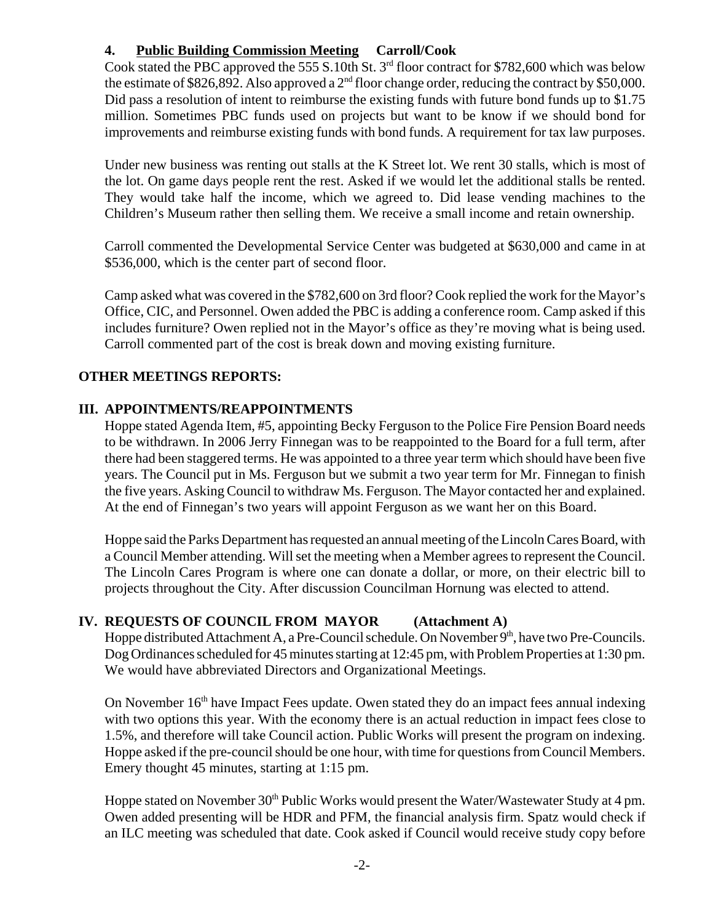# **4. Public Building Commission Meeting Carroll/Cook**

Cook stated the PBC approved the 555 S.10th St.  $3<sup>rd</sup>$  floor contract for \$782,600 which was below the estimate of \$826,892. Also approved a  $2<sup>nd</sup>$  floor change order, reducing the contract by \$50,000. Did pass a resolution of intent to reimburse the existing funds with future bond funds up to \$1.75 million. Sometimes PBC funds used on projects but want to be know if we should bond for improvements and reimburse existing funds with bond funds. A requirement for tax law purposes.

Under new business was renting out stalls at the K Street lot. We rent 30 stalls, which is most of the lot. On game days people rent the rest. Asked if we would let the additional stalls be rented. They would take half the income, which we agreed to. Did lease vending machines to the Children's Museum rather then selling them. We receive a small income and retain ownership.

Carroll commented the Developmental Service Center was budgeted at \$630,000 and came in at \$536,000, which is the center part of second floor.

Camp asked what was covered in the \$782,600 on 3rd floor? Cook replied the work for the Mayor's Office, CIC, and Personnel. Owen added the PBC is adding a conference room. Camp asked if this includes furniture? Owen replied not in the Mayor's office as they're moving what is being used. Carroll commented part of the cost is break down and moving existing furniture.

### **OTHER MEETINGS REPORTS:**

### **III. APPOINTMENTS/REAPPOINTMENTS**

Hoppe stated Agenda Item, #5, appointing Becky Ferguson to the Police Fire Pension Board needs to be withdrawn. In 2006 Jerry Finnegan was to be reappointed to the Board for a full term, after there had been staggered terms. He was appointed to a three year term which should have been five years. The Council put in Ms. Ferguson but we submit a two year term for Mr. Finnegan to finish the five years. Asking Council to withdraw Ms. Ferguson. The Mayor contacted her and explained. At the end of Finnegan's two years will appoint Ferguson as we want her on this Board.

Hoppe said the Parks Department has requested an annual meeting of the Lincoln Cares Board, with a Council Member attending. Will set the meeting when a Member agrees to represent the Council. The Lincoln Cares Program is where one can donate a dollar, or more, on their electric bill to projects throughout the City. After discussion Councilman Hornung was elected to attend.

### **IV. REQUESTS OF COUNCIL FROM MAYOR (Attachment A)**

Hoppe distributed Attachment A, a Pre-Council schedule. On November 9<sup>th</sup>, have two Pre-Councils. Dog Ordinances scheduled for 45 minutes starting at 12:45 pm, with Problem Properties at 1:30 pm. We would have abbreviated Directors and Organizational Meetings.

On November 16<sup>th</sup> have Impact Fees update. Owen stated they do an impact fees annual indexing with two options this year. With the economy there is an actual reduction in impact fees close to 1.5%, and therefore will take Council action. Public Works will present the program on indexing. Hoppe asked if the pre-council should be one hour, with time for questions from Council Members. Emery thought 45 minutes, starting at 1:15 pm.

Hoppe stated on November 30<sup>th</sup> Public Works would present the Water/Wastewater Study at 4 pm. Owen added presenting will be HDR and PFM, the financial analysis firm. Spatz would check if an ILC meeting was scheduled that date. Cook asked if Council would receive study copy before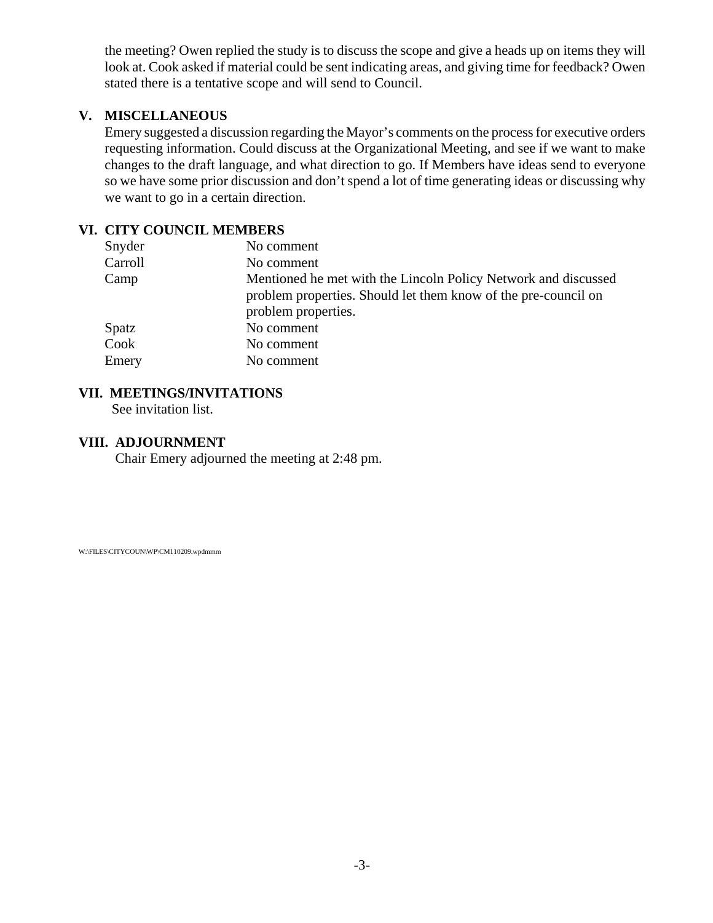the meeting? Owen replied the study is to discuss the scope and give a heads up on items they will look at. Cook asked if material could be sent indicating areas, and giving time for feedback? Owen stated there is a tentative scope and will send to Council.

### **V. MISCELLANEOUS**

Emery suggested a discussion regarding the Mayor's comments on the process for executive orders requesting information. Could discuss at the Organizational Meeting, and see if we want to make changes to the draft language, and what direction to go. If Members have ideas send to everyone so we have some prior discussion and don't spend a lot of time generating ideas or discussing why we want to go in a certain direction.

### **VI. CITY COUNCIL MEMBERS**

| Snyder  | No comment                                                                                                                                              |
|---------|---------------------------------------------------------------------------------------------------------------------------------------------------------|
| Carroll | No comment                                                                                                                                              |
| Camp    | Mentioned he met with the Lincoln Policy Network and discussed<br>problem properties. Should let them know of the pre-council on<br>problem properties. |
| Spatz   | No comment                                                                                                                                              |
| Cook    | No comment                                                                                                                                              |
| Emery   | No comment                                                                                                                                              |

### **VII. MEETINGS/INVITATIONS**

See invitation list.

#### **VIII. ADJOURNMENT**

Chair Emery adjourned the meeting at 2:48 pm.

W:\FILES\CITYCOUN\WP\CM110209.wpdmmm